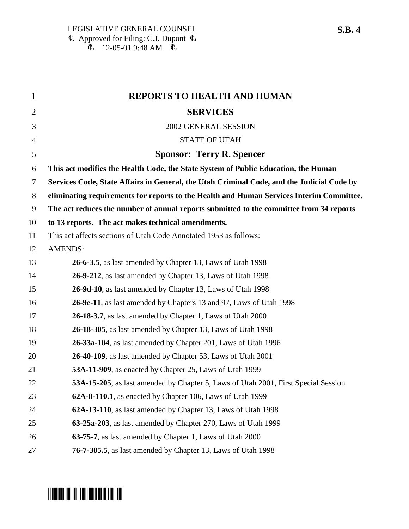| $\mathbf{1}$   | REPORTS TO HEALTH AND HUMAN                                                               |
|----------------|-------------------------------------------------------------------------------------------|
| $\overline{2}$ | <b>SERVICES</b>                                                                           |
| 3              | 2002 GENERAL SESSION                                                                      |
| $\overline{4}$ | <b>STATE OF UTAH</b>                                                                      |
| 5              | <b>Sponsor: Terry R. Spencer</b>                                                          |
| 6              | This act modifies the Health Code, the State System of Public Education, the Human        |
| $\overline{7}$ | Services Code, State Affairs in General, the Utah Criminal Code, and the Judicial Code by |
| $8\,$          | eliminating requirements for reports to the Health and Human Services Interim Committee.  |
| 9              | The act reduces the number of annual reports submitted to the committee from 34 reports   |
| 10             | to 13 reports. The act makes technical amendments.                                        |
| 11             | This act affects sections of Utah Code Annotated 1953 as follows:                         |
| 12             | <b>AMENDS:</b>                                                                            |
| 13             | 26-6-3.5, as last amended by Chapter 13, Laws of Utah 1998                                |
| 14             | 26-9-212, as last amended by Chapter 13, Laws of Utah 1998                                |
| 15             | 26-9d-10, as last amended by Chapter 13, Laws of Utah 1998                                |
| 16             | 26-9e-11, as last amended by Chapters 13 and 97, Laws of Utah 1998                        |
| 17             | 26-18-3.7, as last amended by Chapter 1, Laws of Utah 2000                                |
| 18             | 26-18-305, as last amended by Chapter 13, Laws of Utah 1998                               |
| 19             | 26-33a-104, as last amended by Chapter 201, Laws of Utah 1996                             |
| 20             | 26-40-109, as last amended by Chapter 53, Laws of Utah 2001                               |
| 21             | 53A-11-909, as enacted by Chapter 25, Laws of Utah 1999                                   |
| 22             | 53A-15-205, as last amended by Chapter 5, Laws of Utah 2001, First Special Session        |
| 23             | 62A-8-110.1, as enacted by Chapter 106, Laws of Utah 1999                                 |
| 24             | 62A-13-110, as last amended by Chapter 13, Laws of Utah 1998                              |
| 25             | 63-25a-203, as last amended by Chapter 270, Laws of Utah 1999                             |
| 26             | 63-75-7, as last amended by Chapter 1, Laws of Utah 2000                                  |
| 27             | 76-7-305.5, as last amended by Chapter 13, Laws of Utah 1998                              |

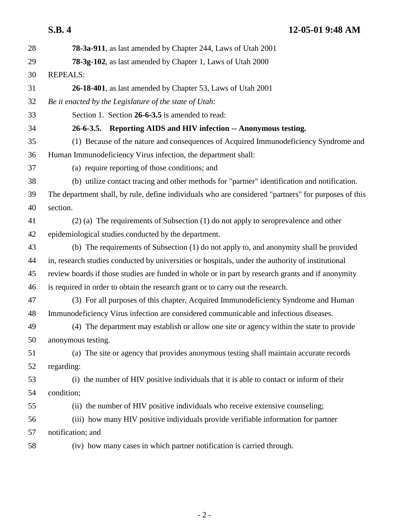| 28 | 78-3a-911, as last amended by Chapter 244, Laws of Utah 2001                                         |
|----|------------------------------------------------------------------------------------------------------|
| 29 | 78-3g-102, as last amended by Chapter 1, Laws of Utah 2000                                           |
| 30 | <b>REPEALS:</b>                                                                                      |
| 31 | 26-18-401, as last amended by Chapter 53, Laws of Utah 2001                                          |
| 32 | Be it enacted by the Legislature of the state of Utah:                                               |
| 33 | Section 1. Section 26-6-3.5 is amended to read:                                                      |
| 34 | 26-6-3.5. Reporting AIDS and HIV infection -- Anonymous testing.                                     |
| 35 | (1) Because of the nature and consequences of Acquired Immunodeficiency Syndrome and                 |
| 36 | Human Immunodeficiency Virus infection, the department shall:                                        |
| 37 | (a) require reporting of those conditions; and                                                       |
| 38 | (b) utilize contact tracing and other methods for "partner" identification and notification.         |
| 39 | The department shall, by rule, define individuals who are considered "partners" for purposes of this |
| 40 | section.                                                                                             |
| 41 | (2) (a) The requirements of Subsection (1) do not apply to seroprevalence and other                  |
| 42 | epidemiological studies conducted by the department.                                                 |
| 43 | (b) The requirements of Subsection (1) do not apply to, and anonymity shall be provided              |
| 44 | in, research studies conducted by universities or hospitals, under the authority of institutional    |
| 45 | review boards if those studies are funded in whole or in part by research grants and if anonymity    |
| 46 | is required in order to obtain the research grant or to carry out the research.                      |
| 47 | (3) For all purposes of this chapter, Acquired Immunodeficiency Syndrome and Human                   |
| 48 | Immunodeficiency Virus infection are considered communicable and infectious diseases.                |
| 49 | (4) The department may establish or allow one site or agency within the state to provide             |
| 50 | anonymous testing.                                                                                   |
| 51 | (a) The site or agency that provides anonymous testing shall maintain accurate records               |
| 52 | regarding:                                                                                           |
| 53 | (i) the number of HIV positive individuals that it is able to contact or inform of their             |
| 54 | condition;                                                                                           |
| 55 | (ii) the number of HIV positive individuals who receive extensive counseling;                        |
| 56 | (iii) how many HIV positive individuals provide verifiable information for partner                   |
| 57 | notification; and                                                                                    |
| 58 | (iv) how many cases in which partner notification is carried through.                                |
|    |                                                                                                      |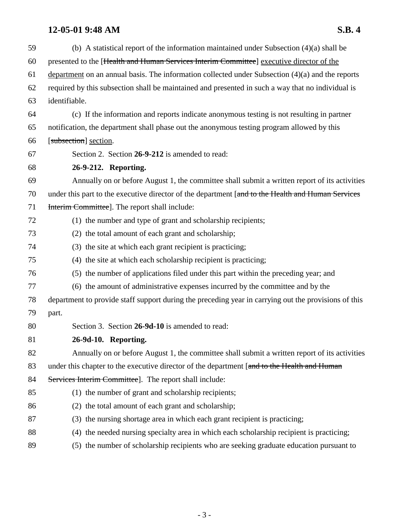| 59 | (b) A statistical report of the information maintained under Subsection $(4)(a)$ shall be            |
|----|------------------------------------------------------------------------------------------------------|
| 60 | presented to the [Health and Human Services Interim Committee] executive director of the             |
| 61 | department on an annual basis. The information collected under Subsection $(4)(a)$ and the reports   |
| 62 | required by this subsection shall be maintained and presented in such a way that no individual is    |
| 63 | identifiable.                                                                                        |
| 64 | (c) If the information and reports indicate anonymous testing is not resulting in partner            |
| 65 | notification, the department shall phase out the anonymous testing program allowed by this           |
| 66 | [subsection] section.                                                                                |
| 67 | Section 2. Section 26-9-212 is amended to read:                                                      |
| 68 | 26-9-212. Reporting.                                                                                 |
| 69 | Annually on or before August 1, the committee shall submit a written report of its activities        |
| 70 | under this part to the executive director of the department [and to the Health and Human Services    |
| 71 | Interim Committee]. The report shall include:                                                        |
| 72 | (1) the number and type of grant and scholarship recipients;                                         |
| 73 | (2) the total amount of each grant and scholarship;                                                  |
| 74 | (3) the site at which each grant recipient is practicing;                                            |
| 75 | (4) the site at which each scholarship recipient is practicing;                                      |
| 76 | (5) the number of applications filed under this part within the preceding year; and                  |
| 77 | (6) the amount of administrative expenses incurred by the committee and by the                       |
| 78 | department to provide staff support during the preceding year in carrying out the provisions of this |
| 79 | part.                                                                                                |
| 80 | Section 3. Section 26-9d-10 is amended to read:                                                      |
| 81 | 26-9d-10. Reporting.                                                                                 |
| 82 | Annually on or before August 1, the committee shall submit a written report of its activities        |
| 83 | under this chapter to the executive director of the department [and to the Health and Human          |
| 84 | Services Interim Committee]. The report shall include:                                               |
| 85 | (1) the number of grant and scholarship recipients;                                                  |
| 86 | (2) the total amount of each grant and scholarship;                                                  |
| 87 | (3) the nursing shortage area in which each grant recipient is practicing;                           |
| 88 | (4) the needed nursing specialty area in which each scholarship recipient is practicing;             |
| 89 | (5) the number of scholarship recipients who are seeking graduate education pursuant to              |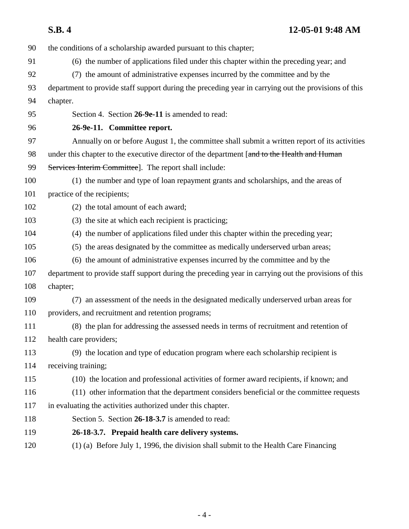| S.B.4 | 12-05-01 9:48 AM |
|-------|------------------|
|       |                  |

90 the conditions of a scholarship awarded pursuant to this chapter;

- 91 (6) the number of applications filed under this chapter within the preceding year; and
- 92 (7) the amount of administrative expenses incurred by the committee and by the
- 93 department to provide staff support during the preceding year in carrying out the provisions of this 94 chapter.
- 95 Section 4. Section **26-9e-11** is amended to read:
- 

### 96 **26-9e-11. Committee report.**

- 97 Annually on or before August 1, the committee shall submit a written report of its activities 98 under this chapter to the executive director of the department [and to the Health and Human
- 99 Services Interim Committee]. The report shall include:
- 100 (1) the number and type of loan repayment grants and scholarships, and the areas of 101 practice of the recipients;
- 102 (2) the total amount of each award;
- 103 (3) the site at which each recipient is practicing;
- 104 (4) the number of applications filed under this chapter within the preceding year;
- 105 (5) the areas designated by the committee as medically underserved urban areas;
- 106 (6) the amount of administrative expenses incurred by the committee and by the
- 107 department to provide staff support during the preceding year in carrying out the provisions of this 108 chapter;
- 109 (7) an assessment of the needs in the designated medically underserved urban areas for 110 providers, and recruitment and retention programs;
- 111 (8) the plan for addressing the assessed needs in terms of recruitment and retention of 112 health care providers;
- 113 (9) the location and type of education program where each scholarship recipient is 114 receiving training;
- 115 (10) the location and professional activities of former award recipients, if known; and
- 116 (11) other information that the department considers beneficial or the committee requests 117 in evaluating the activities authorized under this chapter.
- 118 Section 5. Section **26-18-3.7** is amended to read:
- 119 **26-18-3.7. Prepaid health care delivery systems.**
- 120 (1) (a) Before July 1, 1996, the division shall submit to the Health Care Financing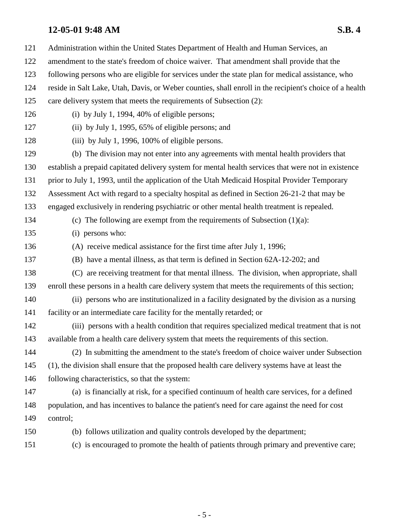| 121 | Administration within the United States Department of Health and Human Services, an                     |
|-----|---------------------------------------------------------------------------------------------------------|
| 122 | amendment to the state's freedom of choice waiver. That amendment shall provide that the                |
| 123 | following persons who are eligible for services under the state plan for medical assistance, who        |
| 124 | reside in Salt Lake, Utah, Davis, or Weber counties, shall enroll in the recipient's choice of a health |
| 125 | care delivery system that meets the requirements of Subsection (2):                                     |
| 126 | (i) by July 1, 1994, 40% of eligible persons;                                                           |
| 127 | (ii) by July 1, 1995, 65% of eligible persons; and                                                      |
| 128 | (iii) by July 1, 1996, 100% of eligible persons.                                                        |
| 129 | (b) The division may not enter into any agreements with mental health providers that                    |
| 130 | establish a prepaid capitated delivery system for mental health services that were not in existence     |
| 131 | prior to July 1, 1993, until the application of the Utah Medicaid Hospital Provider Temporary           |
| 132 | Assessment Act with regard to a specialty hospital as defined in Section 26-21-2 that may be            |
| 133 | engaged exclusively in rendering psychiatric or other mental health treatment is repealed.              |
| 134 | (c) The following are exempt from the requirements of Subsection $(1)(a)$ :                             |
| 135 | (i) persons who:                                                                                        |
| 136 | (A) receive medical assistance for the first time after July 1, 1996;                                   |
| 137 | (B) have a mental illness, as that term is defined in Section 62A-12-202; and                           |
| 138 | (C) are receiving treatment for that mental illness. The division, when appropriate, shall              |
| 139 | enroll these persons in a health care delivery system that meets the requirements of this section;      |
| 140 | (ii) persons who are institutionalized in a facility designated by the division as a nursing            |
| 141 | facility or an intermediate care facility for the mentally retarded; or                                 |
| 142 | (iii) persons with a health condition that requires specialized medical treatment that is not           |
| 143 | available from a health care delivery system that meets the requirements of this section.               |
| 144 | (2) In submitting the amendment to the state's freedom of choice waiver under Subsection                |
| 145 | (1), the division shall ensure that the proposed health care delivery systems have at least the         |
| 146 | following characteristics, so that the system:                                                          |
| 147 | (a) is financially at risk, for a specified continuum of health care services, for a defined            |
| 148 | population, and has incentives to balance the patient's need for care against the need for cost         |
| 149 | control;                                                                                                |
| 150 | (b) follows utilization and quality controls developed by the department;                               |
| 151 | (c) is encouraged to promote the health of patients through primary and preventive care;                |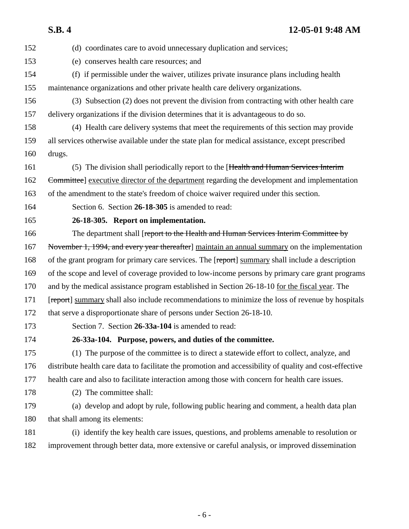152 (d) coordinates care to avoid unnecessary duplication and services; 153 (e) conserves health care resources; and 154 (f) if permissible under the waiver, utilizes private insurance plans including health 155 maintenance organizations and other private health care delivery organizations. 156 (3) Subsection (2) does not prevent the division from contracting with other health care 157 delivery organizations if the division determines that it is advantageous to do so. 158 (4) Health care delivery systems that meet the requirements of this section may provide 159 all services otherwise available under the state plan for medical assistance, except prescribed 160 drugs. 161 (5) The division shall periodically report to the [Health and Human Services Interim 162 <del>Committee</del>] executive director of the department regarding the development and implementation 163 of the amendment to the state's freedom of choice waiver required under this section. 164 Section 6. Section **26-18-305** is amended to read: 165 **26-18-305. Report on implementation.** 166 The department shall [report to the Health and Human Services Interim Committee by 167 November 1, 1994, and every year thereafter] maintain an annual summary on the implementation 168 of the grant program for primary care services. The [report] summary shall include a description 169 of the scope and level of coverage provided to low-income persons by primary care grant programs 170 and by the medical assistance program established in Section 26-18-10 for the fiscal year. The 171 [report] summary shall also include recommendations to minimize the loss of revenue by hospitals 172 that serve a disproportionate share of persons under Section 26-18-10. 173 Section 7. Section **26-33a-104** is amended to read: 174 **26-33a-104. Purpose, powers, and duties of the committee.** 175 (1) The purpose of the committee is to direct a statewide effort to collect, analyze, and 176 distribute health care data to facilitate the promotion and accessibility of quality and cost-effective 177 health care and also to facilitate interaction among those with concern for health care issues. 178 (2) The committee shall: 179 (a) develop and adopt by rule, following public hearing and comment, a health data plan 180 that shall among its elements: 181 (i) identify the key health care issues, questions, and problems amenable to resolution or 182 improvement through better data, more extensive or careful analysis, or improved dissemination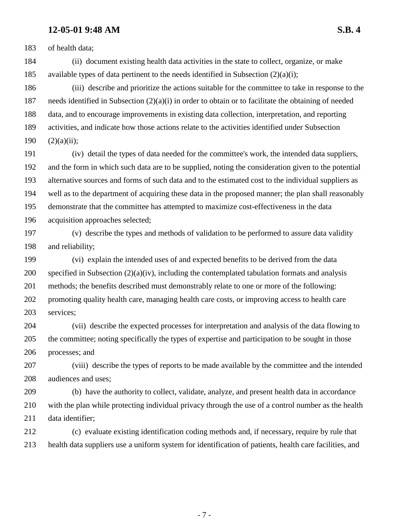183 of health data;

184 (ii) document existing health data activities in the state to collect, organize, or make 185 available types of data pertinent to the needs identified in Subsection  $(2)(a)(i)$ ;

186 (iii) describe and prioritize the actions suitable for the committee to take in response to the 187 needs identified in Subsection (2)(a)(i) in order to obtain or to facilitate the obtaining of needed 188 data, and to encourage improvements in existing data collection, interpretation, and reporting 189 activities, and indicate how those actions relate to the activities identified under Subsection  $190$   $(2)(a)(ii)$ ;

191 (iv) detail the types of data needed for the committee's work, the intended data suppliers, 192 and the form in which such data are to be supplied, noting the consideration given to the potential 193 alternative sources and forms of such data and to the estimated cost to the individual suppliers as 194 well as to the department of acquiring these data in the proposed manner; the plan shall reasonably 195 demonstrate that the committee has attempted to maximize cost-effectiveness in the data 196 acquisition approaches selected;

197 (v) describe the types and methods of validation to be performed to assure data validity 198 and reliability;

199 (vi) explain the intended uses of and expected benefits to be derived from the data 200 specified in Subsection (2)(a)(iv), including the contemplated tabulation formats and analysis 201 methods; the benefits described must demonstrably relate to one or more of the following: 202 promoting quality health care, managing health care costs, or improving access to health care 203 services;

204 (vii) describe the expected processes for interpretation and analysis of the data flowing to 205 the committee; noting specifically the types of expertise and participation to be sought in those 206 processes; and

207 (viii) describe the types of reports to be made available by the committee and the intended 208 audiences and uses;

209 (b) have the authority to collect, validate, analyze, and present health data in accordance 210 with the plan while protecting individual privacy through the use of a control number as the health 211 data identifier;

212 (c) evaluate existing identification coding methods and, if necessary, require by rule that 213 health data suppliers use a uniform system for identification of patients, health care facilities, and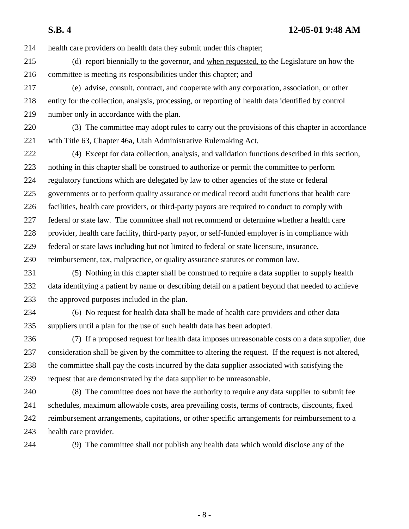214 health care providers on health data they submit under this chapter;

215 (d) report biennially to the governor, and when requested, to the Legislature on how the 216 committee is meeting its responsibilities under this chapter; and

217 (e) advise, consult, contract, and cooperate with any corporation, association, or other 218 entity for the collection, analysis, processing, or reporting of health data identified by control 219 number only in accordance with the plan.

220 (3) The committee may adopt rules to carry out the provisions of this chapter in accordance 221 with Title 63, Chapter 46a, Utah Administrative Rulemaking Act.

222 (4) Except for data collection, analysis, and validation functions described in this section, 223 nothing in this chapter shall be construed to authorize or permit the committee to perform 224 regulatory functions which are delegated by law to other agencies of the state or federal 225 governments or to perform quality assurance or medical record audit functions that health care 226 facilities, health care providers, or third-party payors are required to conduct to comply with 227 federal or state law. The committee shall not recommend or determine whether a health care 228 provider, health care facility, third-party payor, or self-funded employer is in compliance with

229 federal or state laws including but not limited to federal or state licensure, insurance,

230 reimbursement, tax, malpractice, or quality assurance statutes or common law.

231 (5) Nothing in this chapter shall be construed to require a data supplier to supply health 232 data identifying a patient by name or describing detail on a patient beyond that needed to achieve 233 the approved purposes included in the plan.

234 (6) No request for health data shall be made of health care providers and other data 235 suppliers until a plan for the use of such health data has been adopted.

236 (7) If a proposed request for health data imposes unreasonable costs on a data supplier, due 237 consideration shall be given by the committee to altering the request. If the request is not altered, 238 the committee shall pay the costs incurred by the data supplier associated with satisfying the 239 request that are demonstrated by the data supplier to be unreasonable.

240 (8) The committee does not have the authority to require any data supplier to submit fee 241 schedules, maximum allowable costs, area prevailing costs, terms of contracts, discounts, fixed 242 reimbursement arrangements, capitations, or other specific arrangements for reimbursement to a 243 health care provider.

244 (9) The committee shall not publish any health data which would disclose any of the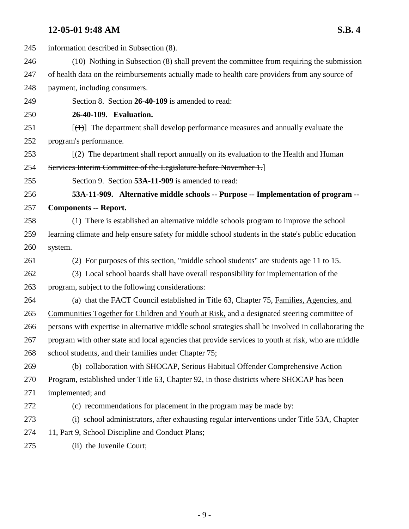| 245 | information described in Subsection (8).                                                              |
|-----|-------------------------------------------------------------------------------------------------------|
| 246 | (10) Nothing in Subsection (8) shall prevent the committee from requiring the submission              |
| 247 | of health data on the reimbursements actually made to health care providers from any source of        |
| 248 | payment, including consumers.                                                                         |
| 249 | Section 8. Section 26-40-109 is amended to read:                                                      |
| 250 | 26-40-109. Evaluation.                                                                                |
| 251 | $[\text{+}]$ The department shall develop performance measures and annually evaluate the              |
| 252 | program's performance.                                                                                |
| 253 | $(2)$ The department shall report annually on its evaluation to the Health and Human                  |
| 254 | Services Interim Committee of the Legislature before November 1.                                      |
| 255 | Section 9. Section 53A-11-909 is amended to read:                                                     |
| 256 | 53A-11-909. Alternative middle schools -- Purpose -- Implementation of program --                     |
| 257 | <b>Components -- Report.</b>                                                                          |
| 258 | (1) There is established an alternative middle schools program to improve the school                  |
| 259 | learning climate and help ensure safety for middle school students in the state's public education    |
| 260 | system.                                                                                               |
| 261 | (2) For purposes of this section, "middle school students" are students age 11 to 15.                 |
| 262 | (3) Local school boards shall have overall responsibility for implementation of the                   |
| 263 | program, subject to the following considerations:                                                     |
| 264 | (a) that the FACT Council established in Title 63, Chapter 75, Families, Agencies, and                |
| 265 | Communities Together for Children and Youth at Risk, and a designated steering committee of           |
| 266 | persons with expertise in alternative middle school strategies shall be involved in collaborating the |
| 267 | program with other state and local agencies that provide services to youth at risk, who are middle    |
| 268 | school students, and their families under Chapter 75;                                                 |
| 269 | (b) collaboration with SHOCAP, Serious Habitual Offender Comprehensive Action                         |
| 270 | Program, established under Title 63, Chapter 92, in those districts where SHOCAP has been             |
| 271 | implemented; and                                                                                      |
| 272 | (c) recommendations for placement in the program may be made by:                                      |
| 273 | (i) school administrators, after exhausting regular interventions under Title 53A, Chapter            |
| 274 | 11, Part 9, School Discipline and Conduct Plans;                                                      |
| 275 | (ii) the Juvenile Court;                                                                              |
|     |                                                                                                       |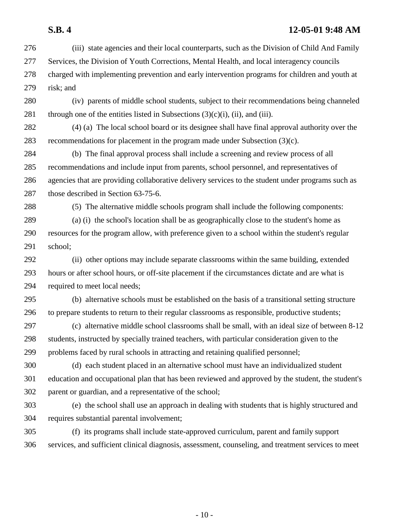276 (iii) state agencies and their local counterparts, such as the Division of Child And Family 277 Services, the Division of Youth Corrections, Mental Health, and local interagency councils 278 charged with implementing prevention and early intervention programs for children and youth at 279 risk; and 280 (iv) parents of middle school students, subject to their recommendations being channeled 281 through one of the entities listed in Subsections  $(3)(c)(i)$ ,  $(ii)$ , and  $(iii)$ . 282 (4) (a) The local school board or its designee shall have final approval authority over the 283 recommendations for placement in the program made under Subsection (3)(c). 284 (b) The final approval process shall include a screening and review process of all 285 recommendations and include input from parents, school personnel, and representatives of 286 agencies that are providing collaborative delivery services to the student under programs such as 287 those described in Section 63-75-6. 288 (5) The alternative middle schools program shall include the following components: 289 (a) (i) the school's location shall be as geographically close to the student's home as 290 resources for the program allow, with preference given to a school within the student's regular 291 school; 292 (ii) other options may include separate classrooms within the same building, extended 293 hours or after school hours, or off-site placement if the circumstances dictate and are what is 294 required to meet local needs; 295 (b) alternative schools must be established on the basis of a transitional setting structure 296 to prepare students to return to their regular classrooms as responsible, productive students; 297 (c) alternative middle school classrooms shall be small, with an ideal size of between 8-12 298 students, instructed by specially trained teachers, with particular consideration given to the 299 problems faced by rural schools in attracting and retaining qualified personnel; 300 (d) each student placed in an alternative school must have an individualized student 301 education and occupational plan that has been reviewed and approved by the student, the student's 302 parent or guardian, and a representative of the school; 303 (e) the school shall use an approach in dealing with students that is highly structured and 304 requires substantial parental involvement; 305 (f) its programs shall include state-approved curriculum, parent and family support 306 services, and sufficient clinical diagnosis, assessment, counseling, and treatment services to meet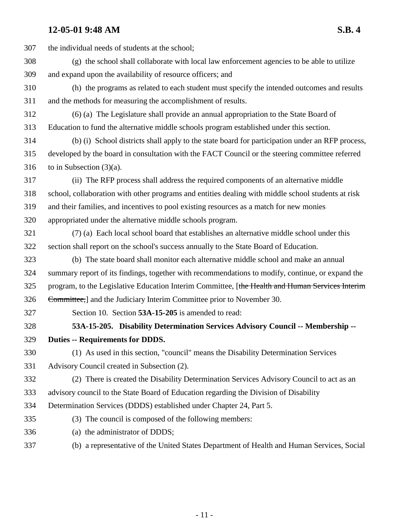| 307 | the individual needs of students at the school;                                                    |
|-----|----------------------------------------------------------------------------------------------------|
| 308 | (g) the school shall collaborate with local law enforcement agencies to be able to utilize         |
| 309 | and expand upon the availability of resource officers; and                                         |
| 310 | (h) the programs as related to each student must specify the intended outcomes and results         |
| 311 | and the methods for measuring the accomplishment of results.                                       |
| 312 | (6) (a) The Legislature shall provide an annual appropriation to the State Board of                |
| 313 | Education to fund the alternative middle schools program established under this section.           |
| 314 | (b) (i) School districts shall apply to the state board for participation under an RFP process,    |
| 315 | developed by the board in consultation with the FACT Council or the steering committee referred    |
| 316 | to in Subsection $(3)(a)$ .                                                                        |
| 317 | (ii) The RFP process shall address the required components of an alternative middle                |
| 318 | school, collaboration with other programs and entities dealing with middle school students at risk |
| 319 | and their families, and incentives to pool existing resources as a match for new monies            |
| 320 | appropriated under the alternative middle schools program.                                         |
| 321 | (7) (a) Each local school board that establishes an alternative middle school under this           |
| 322 | section shall report on the school's success annually to the State Board of Education.             |
| 323 | (b) The state board shall monitor each alternative middle school and make an annual                |
| 324 | summary report of its findings, together with recommendations to modify, continue, or expand the   |
| 325 | program, to the Legislative Education Interim Committee, [the Health and Human Services Interim    |
| 326 | Committee, and the Judiciary Interim Committee prior to November 30.                               |
| 327 | Section 10. Section 53A-15-205 is amended to read:                                                 |
| 328 | 53A-15-205. Disability Determination Services Advisory Council -- Membership --                    |
| 329 | <b>Duties -- Requirements for DDDS.</b>                                                            |
| 330 | (1) As used in this section, "council" means the Disability Determination Services                 |
| 331 | Advisory Council created in Subsection (2).                                                        |
| 332 | (2) There is created the Disability Determination Services Advisory Council to act as an           |
| 333 | advisory council to the State Board of Education regarding the Division of Disability              |
| 334 | Determination Services (DDDS) established under Chapter 24, Part 5.                                |
| 335 | (3) The council is composed of the following members:                                              |
| 336 | (a) the administrator of DDDS;                                                                     |
| 337 | (b) a representative of the United States Department of Health and Human Services, Social          |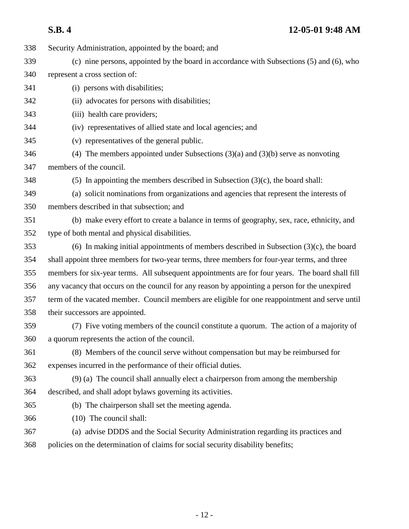338 Security Administration, appointed by the board; and 339 (c) nine persons, appointed by the board in accordance with Subsections (5) and (6), who 340 represent a cross section of: 341 (i) persons with disabilities; 342 (ii) advocates for persons with disabilities; 343 (iii) health care providers; 344 (iv) representatives of allied state and local agencies; and 345 (v) representatives of the general public. 346 (4) The members appointed under Subsections (3)(a) and (3)(b) serve as nonvoting 347 members of the council. 348 (5) In appointing the members described in Subsection (3)(c), the board shall: 349 (a) solicit nominations from organizations and agencies that represent the interests of 350 members described in that subsection; and 351 (b) make every effort to create a balance in terms of geography, sex, race, ethnicity, and 352 type of both mental and physical disabilities. 353 (6) In making initial appointments of members described in Subsection (3)(c), the board 354 shall appoint three members for two-year terms, three members for four-year terms, and three 355 members for six-year terms. All subsequent appointments are for four years. The board shall fill 356 any vacancy that occurs on the council for any reason by appointing a person for the unexpired 357 term of the vacated member. Council members are eligible for one reappointment and serve until 358 their successors are appointed. 359 (7) Five voting members of the council constitute a quorum. The action of a majority of 360 a quorum represents the action of the council. 361 (8) Members of the council serve without compensation but may be reimbursed for 362 expenses incurred in the performance of their official duties. 363 (9) (a) The council shall annually elect a chairperson from among the membership 364 described, and shall adopt bylaws governing its activities. 365 (b) The chairperson shall set the meeting agenda. 366 (10) The council shall: 367 (a) advise DDDS and the Social Security Administration regarding its practices and 368 policies on the determination of claims for social security disability benefits;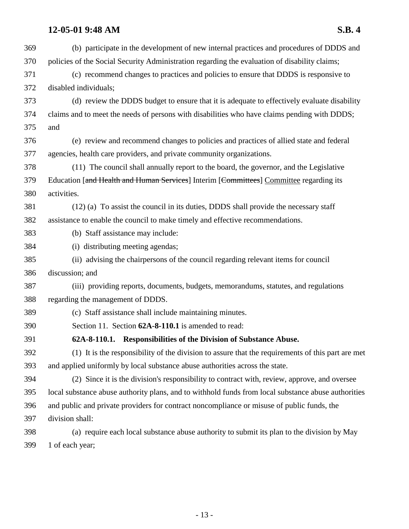| 369 | (b) participate in the development of new internal practices and procedures of DDDS and             |
|-----|-----------------------------------------------------------------------------------------------------|
| 370 | policies of the Social Security Administration regarding the evaluation of disability claims;       |
| 371 | (c) recommend changes to practices and policies to ensure that DDDS is responsive to                |
| 372 | disabled individuals;                                                                               |
| 373 | (d) review the DDDS budget to ensure that it is adequate to effectively evaluate disability         |
| 374 | claims and to meet the needs of persons with disabilities who have claims pending with DDDS;        |
| 375 | and                                                                                                 |
| 376 | (e) review and recommend changes to policies and practices of allied state and federal              |
| 377 | agencies, health care providers, and private community organizations.                               |
| 378 | (11) The council shall annually report to the board, the governor, and the Legislative              |
| 379 | Education [and Health and Human Services] Interim [Committees] Committee regarding its              |
| 380 | activities.                                                                                         |
| 381 | (12) (a) To assist the council in its duties, DDDS shall provide the necessary staff                |
| 382 | assistance to enable the council to make timely and effective recommendations.                      |
| 383 | (b) Staff assistance may include:                                                                   |
| 384 | (i) distributing meeting agendas;                                                                   |
| 385 | (ii) advising the chairpersons of the council regarding relevant items for council                  |
| 386 | discussion; and                                                                                     |
| 387 | (iii) providing reports, documents, budgets, memorandums, statutes, and regulations                 |
| 388 | regarding the management of DDDS.                                                                   |
| 389 | (c) Staff assistance shall include maintaining minutes.                                             |
| 390 | Section 11. Section 62A-8-110.1 is amended to read:                                                 |
| 391 | 62A-8-110.1. Responsibilities of the Division of Substance Abuse.                                   |
| 392 | (1) It is the responsibility of the division to assure that the requirements of this part are met   |
| 393 | and applied uniformly by local substance abuse authorities across the state.                        |
| 394 | (2) Since it is the division's responsibility to contract with, review, approve, and oversee        |
| 395 | local substance abuse authority plans, and to withhold funds from local substance abuse authorities |
| 396 | and public and private providers for contract noncompliance or misuse of public funds, the          |
| 397 | division shall:                                                                                     |
| 398 | (a) require each local substance abuse authority to submit its plan to the division by May          |
| 399 | 1 of each year;                                                                                     |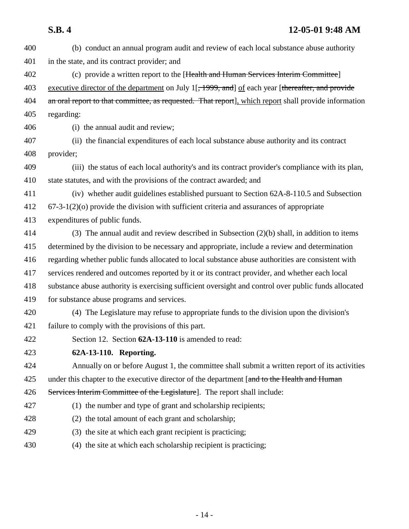| 400 | (b) conduct an annual program audit and review of each local substance abuse authority                         |
|-----|----------------------------------------------------------------------------------------------------------------|
| 401 | in the state, and its contract provider; and                                                                   |
| 402 | (c) provide a written report to the [Health and Human Services Interim Committee]                              |
| 403 | executive director of the department on July 1 <sup>[</sup> , 1999, and] of each year [thereafter, and provide |
| 404 | an oral report to that committee, as requested. That report], which report shall provide information           |
| 405 | regarding:                                                                                                     |
| 406 | (i) the annual audit and review;                                                                               |
| 407 | (ii) the financial expenditures of each local substance abuse authority and its contract                       |
| 408 | provider;                                                                                                      |
| 409 | (iii) the status of each local authority's and its contract provider's compliance with its plan,               |
| 410 | state statutes, and with the provisions of the contract awarded; and                                           |
| 411 | (iv) whether audit guidelines established pursuant to Section 62A-8-110.5 and Subsection                       |
| 412 | $67-3-1(2)(o)$ provide the division with sufficient criteria and assurances of appropriate                     |
| 413 | expenditures of public funds.                                                                                  |
| 414 | (3) The annual audit and review described in Subsection $(2)(b)$ shall, in addition to items                   |
| 415 | determined by the division to be necessary and appropriate, include a review and determination                 |
| 416 | regarding whether public funds allocated to local substance abuse authorities are consistent with              |
| 417 | services rendered and outcomes reported by it or its contract provider, and whether each local                 |
| 418 | substance abuse authority is exercising sufficient oversight and control over public funds allocated           |
| 419 | for substance abuse programs and services.                                                                     |
| 420 | (4) The Legislature may refuse to appropriate funds to the division upon the division's                        |
| 421 | failure to comply with the provisions of this part.                                                            |
| 422 | Section 12. Section 62A-13-110 is amended to read:                                                             |
| 423 | 62A-13-110. Reporting.                                                                                         |
| 424 | Annually on or before August 1, the committee shall submit a written report of its activities                  |
| 425 | under this chapter to the executive director of the department [and to the Health and Human                    |
| 426 | Services Interim Committee of the Legislature]. The report shall include:                                      |
| 427 | (1) the number and type of grant and scholarship recipients;                                                   |
| 428 | (2) the total amount of each grant and scholarship;                                                            |
| 429 | (3) the site at which each grant recipient is practicing;                                                      |
| 430 | (4) the site at which each scholarship recipient is practicing;                                                |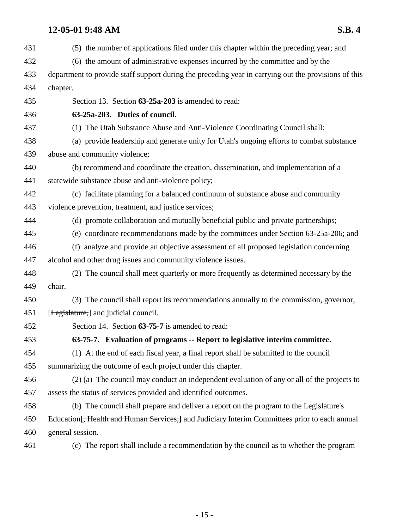| 431 | (5) the number of applications filed under this chapter within the preceding year; and                     |
|-----|------------------------------------------------------------------------------------------------------------|
| 432 | (6) the amount of administrative expenses incurred by the committee and by the                             |
| 433 | department to provide staff support during the preceding year in carrying out the provisions of this       |
| 434 | chapter.                                                                                                   |
| 435 | Section 13. Section 63-25a-203 is amended to read:                                                         |
| 436 | 63-25a-203. Duties of council.                                                                             |
| 437 | (1) The Utah Substance Abuse and Anti-Violence Coordinating Council shall:                                 |
| 438 | (a) provide leadership and generate unity for Utah's ongoing efforts to combat substance                   |
| 439 | abuse and community violence;                                                                              |
| 440 | (b) recommend and coordinate the creation, dissemination, and implementation of a                          |
| 441 | statewide substance abuse and anti-violence policy;                                                        |
| 442 | (c) facilitate planning for a balanced continuum of substance abuse and community                          |
| 443 | violence prevention, treatment, and justice services;                                                      |
| 444 | (d) promote collaboration and mutually beneficial public and private partnerships;                         |
| 445 | (e) coordinate recommendations made by the committees under Section 63-25a-206; and                        |
| 446 | (f) analyze and provide an objective assessment of all proposed legislation concerning                     |
| 447 | alcohol and other drug issues and community violence issues.                                               |
| 448 | (2) The council shall meet quarterly or more frequently as determined necessary by the                     |
| 449 | chair.                                                                                                     |
| 450 | (3) The council shall report its recommendations annually to the commission, governor,                     |
| 451 | [Legislature,] and judicial council.                                                                       |
| 452 | Section 14. Section 63-75-7 is amended to read:                                                            |
| 453 | 63-75-7. Evaluation of programs -- Report to legislative interim committee.                                |
| 454 | (1) At the end of each fiscal year, a final report shall be submitted to the council                       |
| 455 | summarizing the outcome of each project under this chapter.                                                |
| 456 | (2) (a) The council may conduct an independent evaluation of any or all of the projects to                 |
| 457 | assess the status of services provided and identified outcomes.                                            |
| 458 | (b) The council shall prepare and deliver a report on the program to the Legislature's                     |
| 459 | Education <sup>[</sup> , Health and Human Services,] and Judiciary Interim Committees prior to each annual |
| 460 | general session.                                                                                           |
| 461 | (c) The report shall include a recommendation by the council as to whether the program                     |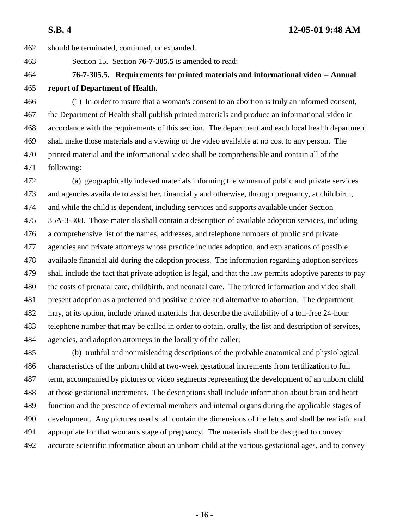462 should be terminated, continued, or expanded.

463 Section 15. Section **76-7-305.5** is amended to read:

## 464 **76-7-305.5. Requirements for printed materials and informational video -- Annual** 465 **report of Department of Health.**

466 (1) In order to insure that a woman's consent to an abortion is truly an informed consent, 467 the Department of Health shall publish printed materials and produce an informational video in 468 accordance with the requirements of this section. The department and each local health department 469 shall make those materials and a viewing of the video available at no cost to any person. The 470 printed material and the informational video shall be comprehensible and contain all of the 471 following:

472 (a) geographically indexed materials informing the woman of public and private services 473 and agencies available to assist her, financially and otherwise, through pregnancy, at childbirth, 474 and while the child is dependent, including services and supports available under Section 475 35A-3-308. Those materials shall contain a description of available adoption services, including 476 a comprehensive list of the names, addresses, and telephone numbers of public and private 477 agencies and private attorneys whose practice includes adoption, and explanations of possible 478 available financial aid during the adoption process. The information regarding adoption services 479 shall include the fact that private adoption is legal, and that the law permits adoptive parents to pay 480 the costs of prenatal care, childbirth, and neonatal care. The printed information and video shall 481 present adoption as a preferred and positive choice and alternative to abortion. The department 482 may, at its option, include printed materials that describe the availability of a toll-free 24-hour 483 telephone number that may be called in order to obtain, orally, the list and description of services, 484 agencies, and adoption attorneys in the locality of the caller;

485 (b) truthful and nonmisleading descriptions of the probable anatomical and physiological 486 characteristics of the unborn child at two-week gestational increments from fertilization to full 487 term, accompanied by pictures or video segments representing the development of an unborn child 488 at those gestational increments. The descriptions shall include information about brain and heart 489 function and the presence of external members and internal organs during the applicable stages of 490 development. Any pictures used shall contain the dimensions of the fetus and shall be realistic and 491 appropriate for that woman's stage of pregnancy. The materials shall be designed to convey 492 accurate scientific information about an unborn child at the various gestational ages, and to convey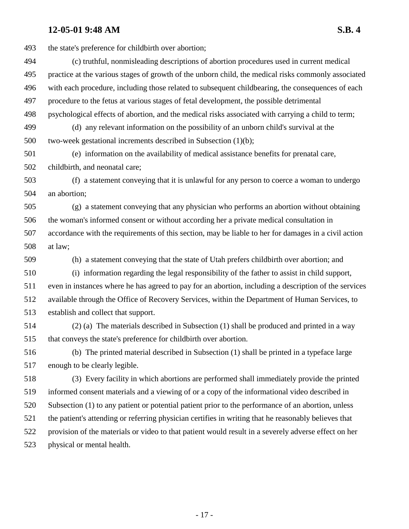493 the state's preference for childbirth over abortion; 494 (c) truthful, nonmisleading descriptions of abortion procedures used in current medical 495 practice at the various stages of growth of the unborn child, the medical risks commonly associated 496 with each procedure, including those related to subsequent childbearing, the consequences of each 497 procedure to the fetus at various stages of fetal development, the possible detrimental 498 psychological effects of abortion, and the medical risks associated with carrying a child to term; 499 (d) any relevant information on the possibility of an unborn child's survival at the 500 two-week gestational increments described in Subsection (1)(b); 501 (e) information on the availability of medical assistance benefits for prenatal care, 502 childbirth, and neonatal care; 503 (f) a statement conveying that it is unlawful for any person to coerce a woman to undergo 504 an abortion; 505 (g) a statement conveying that any physician who performs an abortion without obtaining 506 the woman's informed consent or without according her a private medical consultation in 507 accordance with the requirements of this section, may be liable to her for damages in a civil action 508 at law; 509 (h) a statement conveying that the state of Utah prefers childbirth over abortion; and 510 (i) information regarding the legal responsibility of the father to assist in child support, 511 even in instances where he has agreed to pay for an abortion, including a description of the services 512 available through the Office of Recovery Services, within the Department of Human Services, to 513 establish and collect that support. 514 (2) (a) The materials described in Subsection (1) shall be produced and printed in a way 515 that conveys the state's preference for childbirth over abortion. 516 (b) The printed material described in Subsection (1) shall be printed in a typeface large 517 enough to be clearly legible. 518 (3) Every facility in which abortions are performed shall immediately provide the printed 519 informed consent materials and a viewing of or a copy of the informational video described in 520 Subsection (1) to any patient or potential patient prior to the performance of an abortion, unless 521 the patient's attending or referring physician certifies in writing that he reasonably believes that 522 provision of the materials or video to that patient would result in a severely adverse effect on her

523 physical or mental health.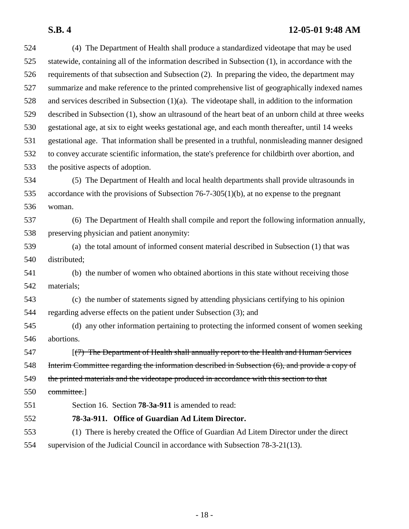| 524 | (4) The Department of Health shall produce a standardized videotape that may be used                |
|-----|-----------------------------------------------------------------------------------------------------|
| 525 | statewide, containing all of the information described in Subsection (1), in accordance with the    |
| 526 | requirements of that subsection and Subsection (2). In preparing the video, the department may      |
| 527 | summarize and make reference to the printed comprehensive list of geographically indexed names      |
| 528 | and services described in Subsection $(1)(a)$ . The videotape shall, in addition to the information |
| 529 | described in Subsection (1), show an ultrasound of the heart beat of an unborn child at three weeks |
| 530 | gestational age, at six to eight weeks gestational age, and each month thereafter, until 14 weeks   |
| 531 | gestational age. That information shall be presented in a truthful, nonmisleading manner designed   |
| 532 | to convey accurate scientific information, the state's preference for childbirth over abortion, and |
| 533 | the positive aspects of adoption.                                                                   |
| 534 | (5) The Department of Health and local health departments shall provide ultrasounds in              |
| 535 | accordance with the provisions of Subsection $76-7-305(1)(b)$ , at no expense to the pregnant       |
| 536 | woman.                                                                                              |
| 537 | (6) The Department of Health shall compile and report the following information annually,           |
| 538 | preserving physician and patient anonymity:                                                         |
| 539 | (a) the total amount of informed consent material described in Subsection (1) that was              |
| 540 | distributed;                                                                                        |
| 541 | (b) the number of women who obtained abortions in this state without receiving those                |
| 542 | materials;                                                                                          |
| 543 | (c) the number of statements signed by attending physicians certifying to his opinion               |
| 544 | regarding adverse effects on the patient under Subsection (3); and                                  |
| 545 | (d) any other information pertaining to protecting the informed consent of women seeking            |
| 546 | abortions.                                                                                          |
| 547 | (7) The Department of Health shall annually report to the Health and Human Services                 |
| 548 | Interim Committee regarding the information described in Subsection (6), and provide a copy of      |
| 549 | the printed materials and the videotape produced in accordance with this section to that            |
| 550 | committee.                                                                                          |
| 551 | Section 16. Section <b>78-3a-911</b> is amended to read:                                            |
| 552 | 78-3a-911. Office of Guardian Ad Litem Director.                                                    |
| 553 | (1) There is hereby created the Office of Guardian Ad Litem Director under the direct               |
| 554 | supervision of the Judicial Council in accordance with Subsection 78-3-21(13).                      |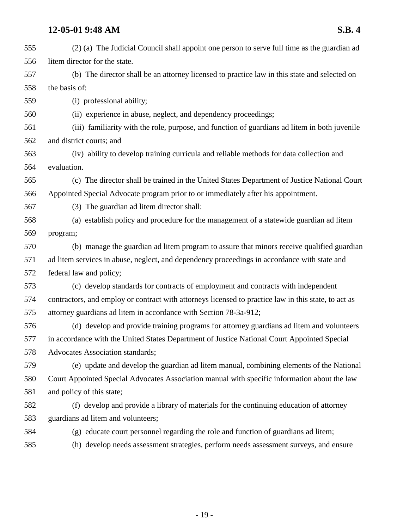| 555 | (2) (a) The Judicial Council shall appoint one person to serve full time as the guardian ad          |
|-----|------------------------------------------------------------------------------------------------------|
| 556 | litem director for the state.                                                                        |
| 557 | (b) The director shall be an attorney licensed to practice law in this state and selected on         |
| 558 | the basis of:                                                                                        |
| 559 | (i) professional ability;                                                                            |
| 560 | (ii) experience in abuse, neglect, and dependency proceedings;                                       |
| 561 | (iii) familiarity with the role, purpose, and function of guardians ad litem in both juvenile        |
| 562 | and district courts; and                                                                             |
| 563 | (iv) ability to develop training curricula and reliable methods for data collection and              |
| 564 | evaluation.                                                                                          |
| 565 | (c) The director shall be trained in the United States Department of Justice National Court          |
| 566 | Appointed Special Advocate program prior to or immediately after his appointment.                    |
| 567 | (3) The guardian ad litem director shall:                                                            |
| 568 | (a) establish policy and procedure for the management of a statewide guardian ad litem               |
| 569 | program;                                                                                             |
| 570 | (b) manage the guardian ad litem program to assure that minors receive qualified guardian            |
| 571 | ad litem services in abuse, neglect, and dependency proceedings in accordance with state and         |
| 572 | federal law and policy;                                                                              |
| 573 | (c) develop standards for contracts of employment and contracts with independent                     |
| 574 | contractors, and employ or contract with attorneys licensed to practice law in this state, to act as |
| 575 | attorney guardians ad litem in accordance with Section 78-3a-912;                                    |
| 576 | (d) develop and provide training programs for attorney guardians ad litem and volunteers             |
| 577 | in accordance with the United States Department of Justice National Court Appointed Special          |
| 578 | <b>Advocates Association standards;</b>                                                              |
| 579 | (e) update and develop the guardian ad litem manual, combining elements of the National              |
| 580 | Court Appointed Special Advocates Association manual with specific information about the law         |
| 581 | and policy of this state;                                                                            |
| 582 | (f) develop and provide a library of materials for the continuing education of attorney              |
| 583 | guardians ad litem and volunteers;                                                                   |
| 584 | (g) educate court personnel regarding the role and function of guardians ad litem;                   |
| 585 | (h) develop needs assessment strategies, perform needs assessment surveys, and ensure                |
|     |                                                                                                      |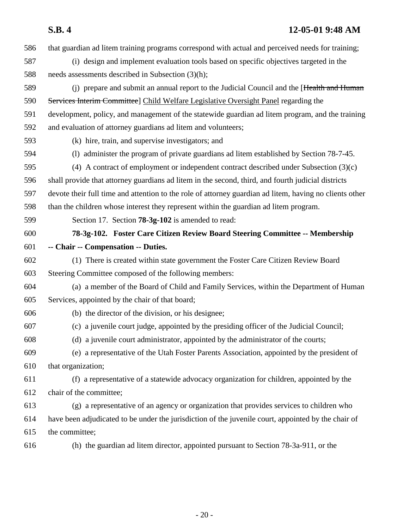587 (i) design and implement evaluation tools based on specific objectives targeted in the 588 needs assessments described in Subsection (3)(h); 589 (i) prepare and submit an annual report to the Judicial Council and the [Health and Human] 590 Services Interim Committee] Child Welfare Legislative Oversight Panel regarding the 591 development, policy, and management of the statewide guardian ad litem program, and the training 592 and evaluation of attorney guardians ad litem and volunteers; 593 (k) hire, train, and supervise investigators; and 594 (l) administer the program of private guardians ad litem established by Section 78-7-45. 595 (4) A contract of employment or independent contract described under Subsection (3)(c) 596 shall provide that attorney guardians ad litem in the second, third, and fourth judicial districts 597 devote their full time and attention to the role of attorney guardian ad litem, having no clients other 598 than the children whose interest they represent within the guardian ad litem program. 599 Section 17. Section **78-3g-102** is amended to read: 600 **78-3g-102. Foster Care Citizen Review Board Steering Committee -- Membership** 601 **-- Chair -- Compensation -- Duties.** 602 (1) There is created within state government the Foster Care Citizen Review Board 603 Steering Committee composed of the following members: 604 (a) a member of the Board of Child and Family Services, within the Department of Human 605 Services, appointed by the chair of that board; 606 (b) the director of the division, or his designee; 607 (c) a juvenile court judge, appointed by the presiding officer of the Judicial Council; 608 (d) a juvenile court administrator, appointed by the administrator of the courts; 609 (e) a representative of the Utah Foster Parents Association, appointed by the president of 610 that organization; 611 (f) a representative of a statewide advocacy organization for children, appointed by the 612 chair of the committee; 613 (g) a representative of an agency or organization that provides services to children who 614 have been adjudicated to be under the jurisdiction of the juvenile court, appointed by the chair of 615 the committee; 616 (h) the guardian ad litem director, appointed pursuant to Section 78-3a-911, or the

586 that guardian ad litem training programs correspond with actual and perceived needs for training;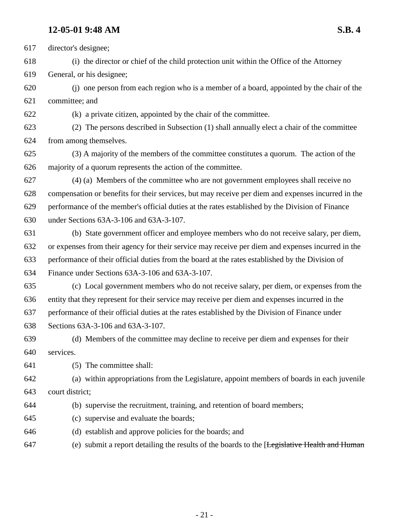617 director's designee;

618 (i) the director or chief of the child protection unit within the Office of the Attorney

619 General, or his designee;

620 (j) one person from each region who is a member of a board, appointed by the chair of the 621 committee; and

622 (k) a private citizen, appointed by the chair of the committee.

623 (2) The persons described in Subsection (1) shall annually elect a chair of the committee 624 from among themselves.

625 (3) A majority of the members of the committee constitutes a quorum. The action of the 626 majority of a quorum represents the action of the committee.

627 (4) (a) Members of the committee who are not government employees shall receive no 628 compensation or benefits for their services, but may receive per diem and expenses incurred in the 629 performance of the member's official duties at the rates established by the Division of Finance 630 under Sections 63A-3-106 and 63A-3-107.

631 (b) State government officer and employee members who do not receive salary, per diem, 632 or expenses from their agency for their service may receive per diem and expenses incurred in the 633 performance of their official duties from the board at the rates established by the Division of 634 Finance under Sections 63A-3-106 and 63A-3-107.

635 (c) Local government members who do not receive salary, per diem, or expenses from the 636 entity that they represent for their service may receive per diem and expenses incurred in the 637 performance of their official duties at the rates established by the Division of Finance under 638 Sections 63A-3-106 and 63A-3-107.

639 (d) Members of the committee may decline to receive per diem and expenses for their 640 services.

641 (5) The committee shall:

642 (a) within appropriations from the Legislature, appoint members of boards in each juvenile 643 court district;

- 644 (b) supervise the recruitment, training, and retention of board members;
- 645 (c) supervise and evaluate the boards;
- 646 (d) establish and approve policies for the boards; and
- 647 (e) submit a report detailing the results of the boards to the [Legislative Health and Human